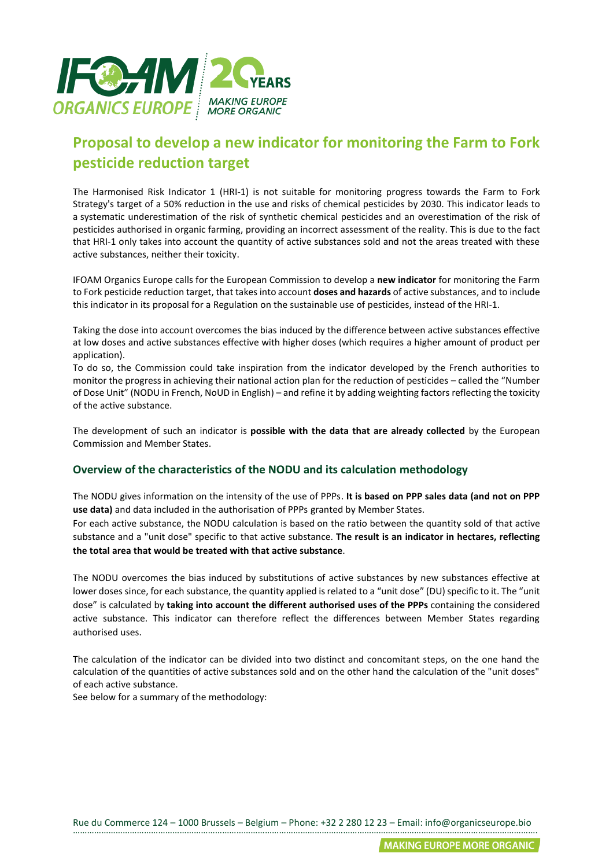

## **Proposal to develop a new indicator for monitoring the Farm to Fork pesticide reduction target**

The Harmonised Risk Indicator 1 (HRI-1) is not suitable for monitoring progress towards the Farm to Fork Strategy's target of a 50% reduction in the use and risks of chemical pesticides by 2030. This indicator leads to a systematic underestimation of the risk of synthetic chemical pesticides and an overestimation of the risk of pesticides authorised in organic farming, providing an incorrect assessment of the reality. This is due to the fact that HRI-1 only takes into account the quantity of active substances sold and not the areas treated with these active substances, neither their toxicity.

IFOAM Organics Europe calls for the European Commission to develop a **new indicator** for monitoring the Farm to Fork pesticide reduction target, that takes into account **doses and hazards** of active substances, and to include this indicator in its proposal for a Regulation on the sustainable use of pesticides, instead of the HRI-1.

Taking the dose into account overcomes the bias induced by the difference between active substances effective at low doses and active substances effective with higher doses (which requires a higher amount of product per application).

To do so, the Commission could take inspiration from the indicator developed by the French authorities to monitor the progress in achieving their national action plan for the reduction of pesticides – called the "Number of Dose Unit" (NODU in French, NoUD in English) – and refine it by adding weighting factors reflecting the toxicity of the active substance.

The development of such an indicator is **possible with the data that are already collected** by the European Commission and Member States.

## **Overview of the characteristics of the NODU and its calculation methodology**

The NODU gives information on the intensity of the use of PPPs. **It is based on PPP sales data (and not on PPP use data)** and data included in the authorisation of PPPs granted by Member States.

For each active substance, the NODU calculation is based on the ratio between the quantity sold of that active substance and a "unit dose" specific to that active substance. **The result is an indicator in hectares, reflecting the total area that would be treated with that active substance**.

The NODU overcomes the bias induced by substitutions of active substances by new substances effective at lower doses since, for each substance, the quantity applied is related to a "unit dose" (DU) specific to it. The "unit dose" is calculated by **taking into account the different authorised uses of the PPPs** containing the considered active substance. This indicator can therefore reflect the differences between Member States regarding authorised uses.

The calculation of the indicator can be divided into two distinct and concomitant steps, on the one hand the calculation of the quantities of active substances sold and on the other hand the calculation of the "unit doses" of each active substance.

See below for a summary of the methodology: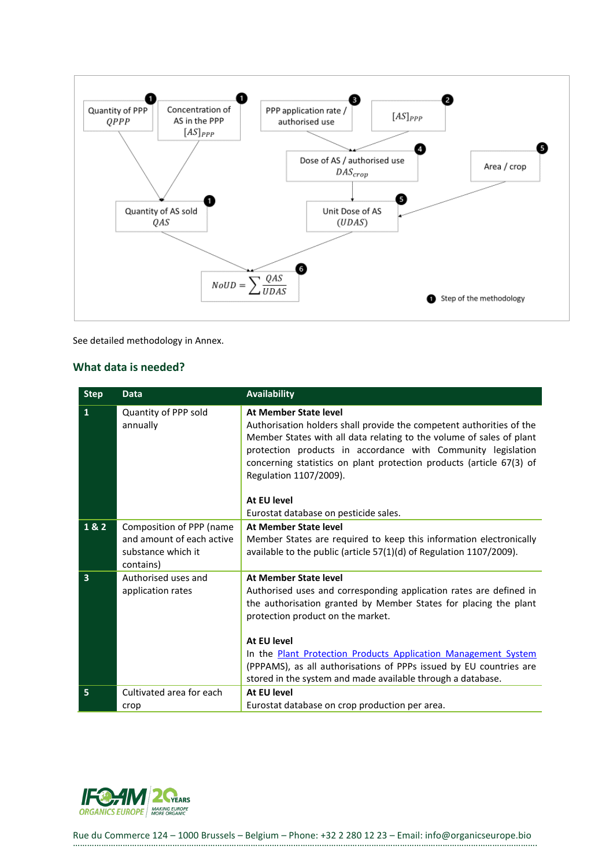

See detailed methodology in Annex.

## **What data is needed?**

| <b>Step</b>  | <b>Data</b>                                                                              | <b>Availability</b>                                                                                                                                                                                                                                                                                                                                                                                                        |
|--------------|------------------------------------------------------------------------------------------|----------------------------------------------------------------------------------------------------------------------------------------------------------------------------------------------------------------------------------------------------------------------------------------------------------------------------------------------------------------------------------------------------------------------------|
| $\mathbf{1}$ | Quantity of PPP sold<br>annually                                                         | At Member State level<br>Authorisation holders shall provide the competent authorities of the<br>Member States with all data relating to the volume of sales of plant<br>protection products in accordance with Community legislation<br>concerning statistics on plant protection products (article 67(3) of<br>Regulation 1107/2009).                                                                                    |
|              |                                                                                          | At EU level<br>Eurostat database on pesticide sales.                                                                                                                                                                                                                                                                                                                                                                       |
| 1&2          | Composition of PPP (name<br>and amount of each active<br>substance which it<br>contains) | <b>At Member State level</b><br>Member States are required to keep this information electronically<br>available to the public (article 57(1)(d) of Regulation 1107/2009).                                                                                                                                                                                                                                                  |
| 3            | Authorised uses and<br>application rates                                                 | At Member State level<br>Authorised uses and corresponding application rates are defined in<br>the authorisation granted by Member States for placing the plant<br>protection product on the market.<br>At EU level<br>In the Plant Protection Products Application Management System<br>(PPPAMS), as all authorisations of PPPs issued by EU countries are<br>stored in the system and made available through a database. |
| 5            | Cultivated area for each<br>crop                                                         | At EU level<br>Eurostat database on crop production per area.                                                                                                                                                                                                                                                                                                                                                              |

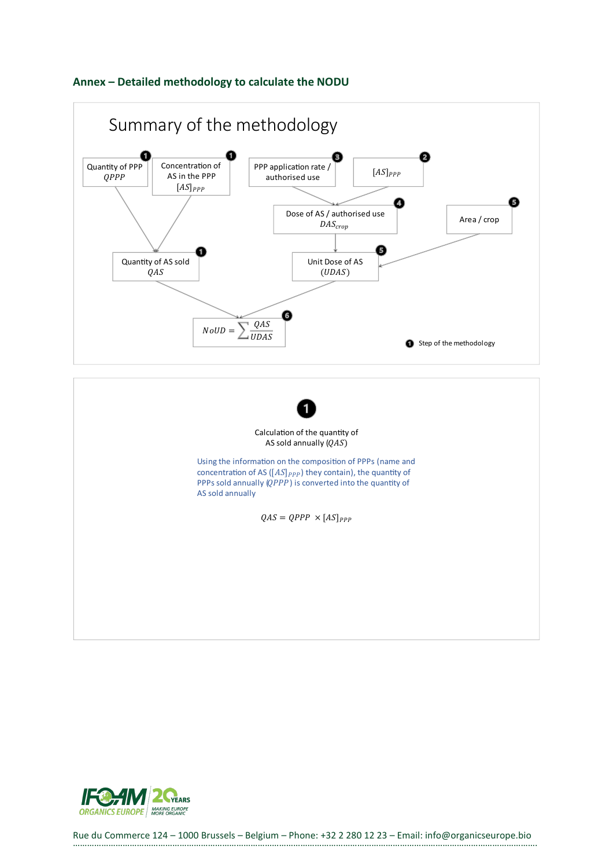





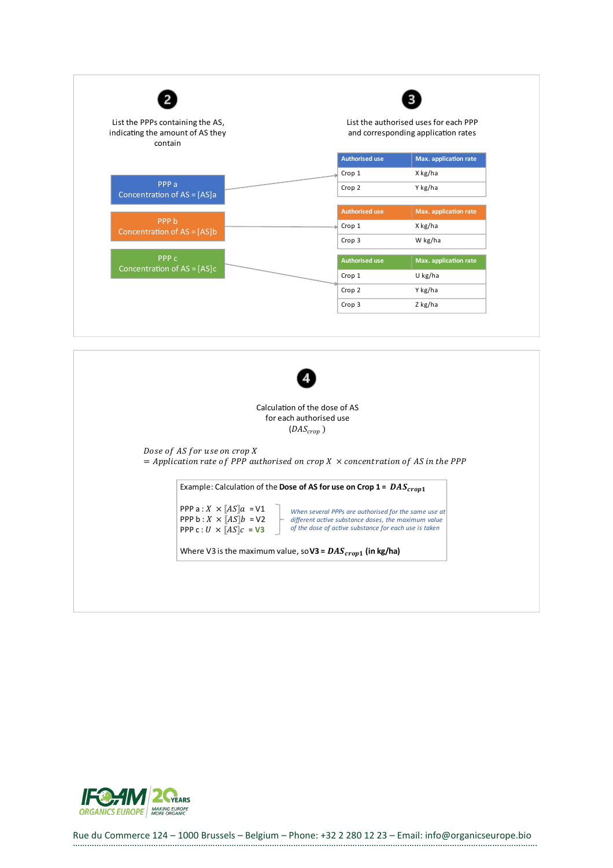| List the PPPs containing the AS,<br>indicating the amount of AS they<br>contain | List the authorised uses for each PPP<br>and corresponding application rates |                       |
|---------------------------------------------------------------------------------|------------------------------------------------------------------------------|-----------------------|
|                                                                                 | <b>Authorised use</b>                                                        | Max. application rate |
|                                                                                 | Crop 1                                                                       | X kg/ha               |
| PPP <sub>a</sub><br>Concentration of AS = [AS]a                                 | Crop 2                                                                       | Y kg/ha               |
|                                                                                 | <b>Authorised use</b>                                                        | Max. application rate |
| PPP <sub>b</sub><br>Concentration of AS = [AS]b                                 | Crop 1                                                                       | X kg/ha               |
|                                                                                 | Crop 3                                                                       | W kg/ha               |
| PPP <sub>c</sub>                                                                | <b>Authorised use</b>                                                        | Max. application rate |
| Concentration of $AS = [AS]c$                                                   | Crop 1                                                                       | U kg/ha               |
|                                                                                 | Crop 2                                                                       | Y kg/ha               |
|                                                                                 | Crop 3                                                                       | Z kg/ha               |



Calculation of the dose of AS for each authorised use  $\left(DAS_{crop}\right)$ 

Dose of AS for use on crop X Ξ

Example: Calculation of the Dose of AS for use on Crop  $1 = DAS_{crop1}$ 

PPP a :  $X \times [AS]a = V1$ PPP b :  $X \times \overline{[}AS\overline{]}b = \sqrt{2}$ PPP c:  $U \times [AS]c = V3$ When several PPPs are authorised for the same use at 

Where V3 is the maximum value, so V3 =  $\textit{DAS}_{\textit{crop1}}$  (in kg/ha)